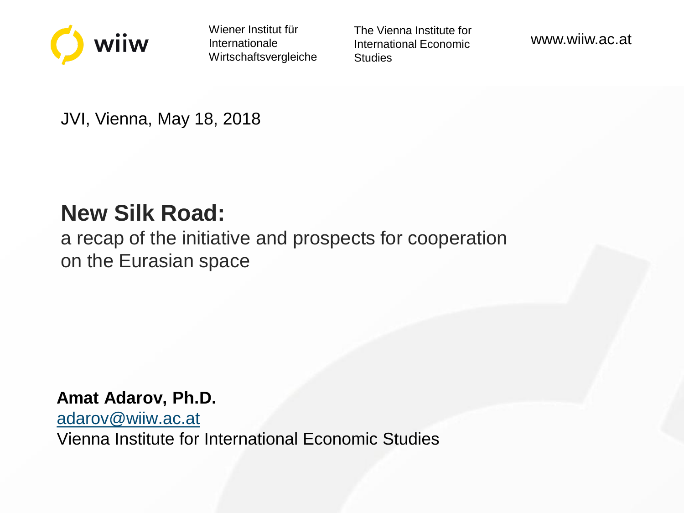

Wiener Institut für Internationale Wirtschaftsvergleiche The Vienna Institute for International Economic **Studies** 

www.wiiw.ac.at

JVI, Vienna, May 18, 2018

# **New Silk Road:**

a recap of the initiative and prospects for cooperation on the Eurasian space

#### **Amat Adarov, Ph.D.**

[adarov@wiiw.ac.at](mailto:adarov@wiiw.ac.at)

Vienna Institute for International Economic Studies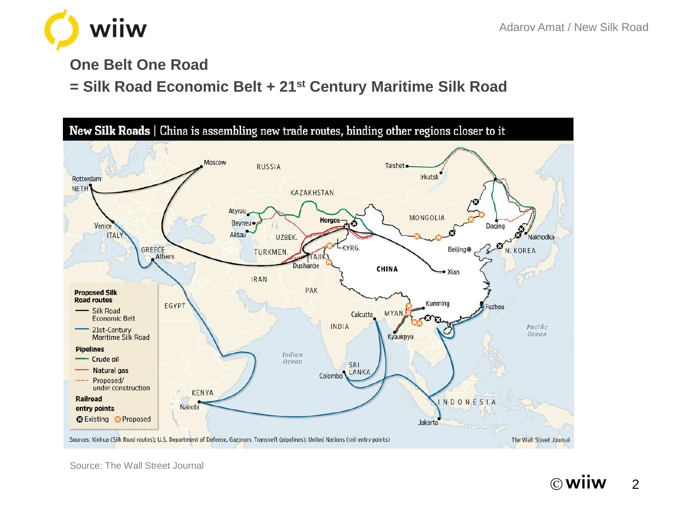

#### **One Belt One Road**

#### **= Silk Road Economic Belt + 21st Century Maritime Silk Road**



Source: The Wall Street Journal

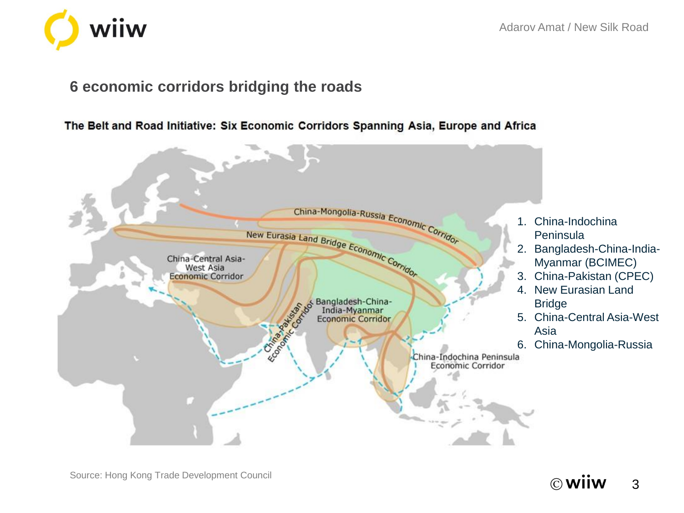#### **6 economic corridors bridging the roads**

wiiw

The Belt and Road Initiative: Six Economic Corridors Spanning Asia, Europe and Africa



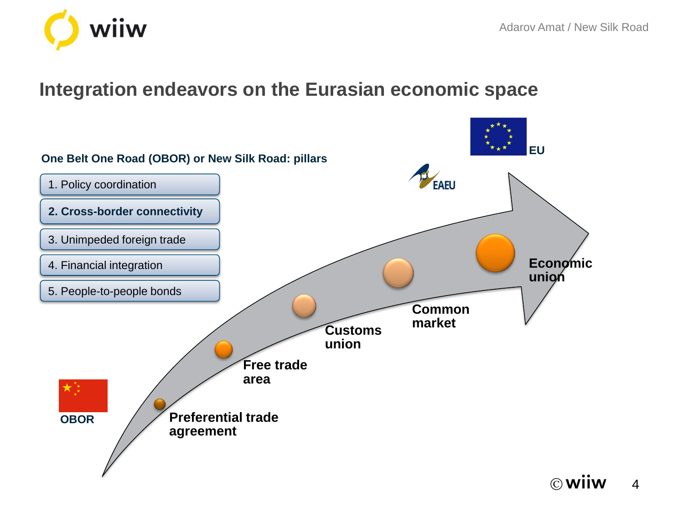

### **Integration endeavors on the Eurasian economic space**

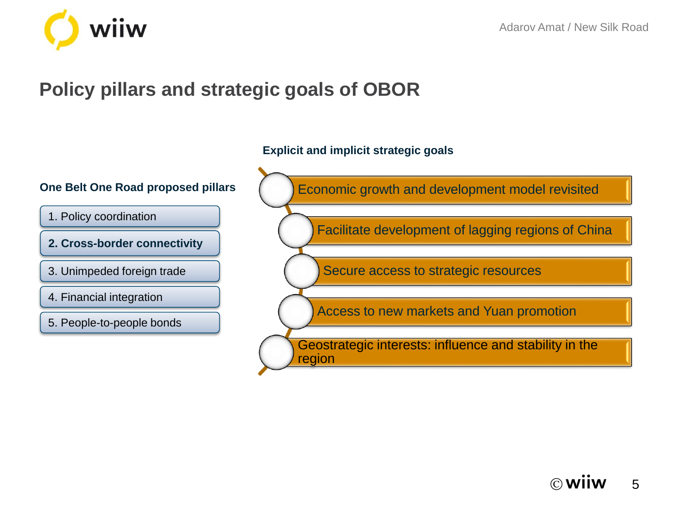

# **Policy pillars and strategic goals of OBOR**

**Explicit and implicit strategic goals** 

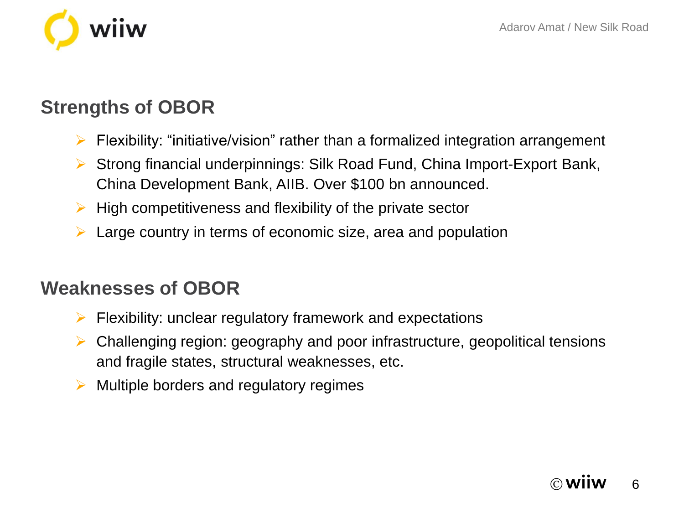

# **Strengths of OBOR**

- $\triangleright$  Flexibility: "initiative/vision" rather than a formalized integration arrangement
- ▶ Strong financial underpinnings: Silk Road Fund, China Import-Export Bank, China Development Bank, AIIB. Over \$100 bn announced.
- $\triangleright$  High competitiveness and flexibility of the private sector
- $\triangleright$  Large country in terms of economic size, area and population

## **Weaknesses of OBOR**

- Flexibility: unclear regulatory framework and expectations
- $\triangleright$  Challenging region: geography and poor infrastructure, geopolitical tensions and fragile states, structural weaknesses, etc.
- Multiple borders and regulatory regimes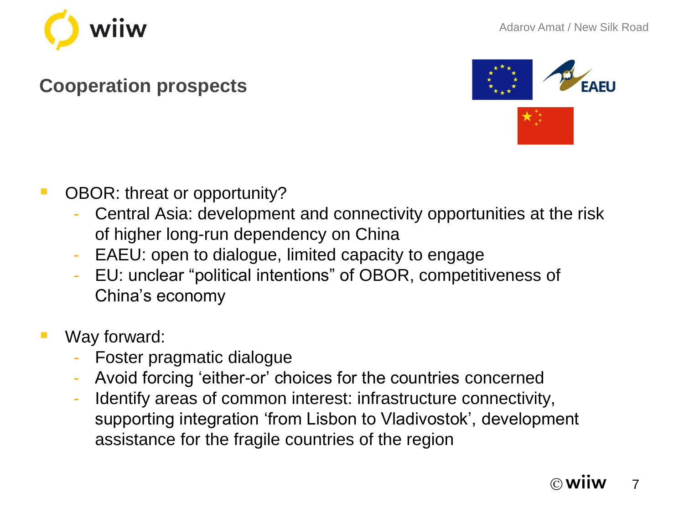

## **Cooperation prospects**



- **OBOR: threat or opportunity?** 
	- Central Asia: development and connectivity opportunities at the risk of higher long-run dependency on China
	- EAEU: open to dialogue, limited capacity to engage
	- EU: unclear "political intentions" of OBOR, competitiveness of China's economy
- Way forward:
	- Foster pragmatic dialogue
	- Avoid forcing 'either-or' choices for the countries concerned
	- Identify areas of common interest: infrastructure connectivity, supporting integration 'from Lisbon to Vladivostok', development assistance for the fragile countries of the region